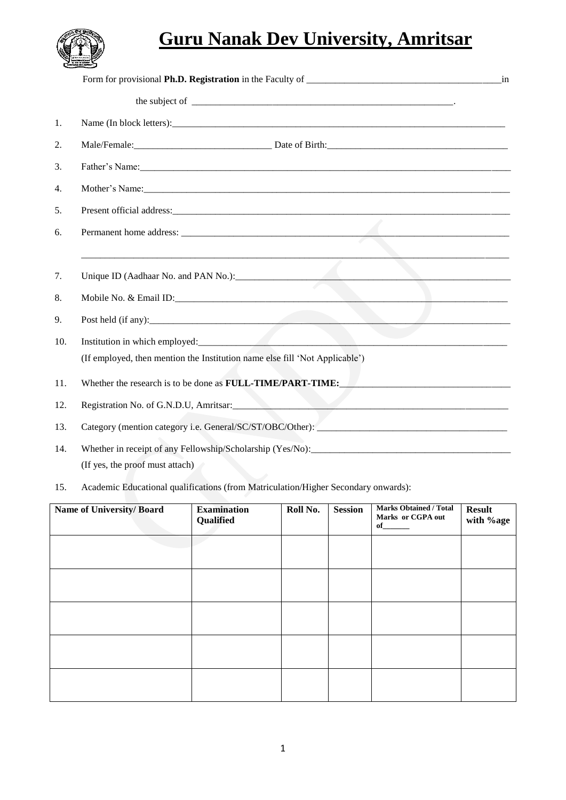

# **Guru Nanak Dev University, Amritsar**

|     | in                                                                                                                                                                                                                            |
|-----|-------------------------------------------------------------------------------------------------------------------------------------------------------------------------------------------------------------------------------|
|     |                                                                                                                                                                                                                               |
| 1.  | Name (In block letters): Name (In block letters):                                                                                                                                                                             |
| 2.  | Male/Female: Date of Birth: Date of Birth:                                                                                                                                                                                    |
| 3.  |                                                                                                                                                                                                                               |
| 4.  |                                                                                                                                                                                                                               |
| 5.  | Present official address: experience of the state of the state of the state of the state of the state of the state of the state of the state of the state of the state of the state of the state of the state of the state of |
| 6.  |                                                                                                                                                                                                                               |
|     |                                                                                                                                                                                                                               |
| 7.  | Unique ID (Aadhaar No. and PAN No.):                                                                                                                                                                                          |
| 8.  |                                                                                                                                                                                                                               |
| 9.  | Post held (if any):                                                                                                                                                                                                           |
| 10. |                                                                                                                                                                                                                               |
|     | (If employed, then mention the Institution name else fill 'Not Applicable')                                                                                                                                                   |
| 11. | Whether the research is to be done as <b>FULL-TIME/PART-TIME:</b>                                                                                                                                                             |
| 12. | Registration No. of G.N.D.U, Amritsar:                                                                                                                                                                                        |
| 13. |                                                                                                                                                                                                                               |
| 14. |                                                                                                                                                                                                                               |
|     | (If yes, the proof must attach)                                                                                                                                                                                               |
| 15. | Academic Educational qualifications (from Matriculation/Higher Secondary onwards):                                                                                                                                            |

| Name of University/Board | <b>Examination</b><br>Qualified | Roll No. | <b>Session</b> | <b>Marks Obtained / Total</b><br>Marks or CGPA out<br>$of$ and $\overline{a}$ | <b>Result</b><br>with %age |
|--------------------------|---------------------------------|----------|----------------|-------------------------------------------------------------------------------|----------------------------|
|                          |                                 |          |                |                                                                               |                            |
|                          |                                 |          |                |                                                                               |                            |
|                          |                                 |          |                |                                                                               |                            |
|                          |                                 |          |                |                                                                               |                            |
|                          |                                 |          |                |                                                                               |                            |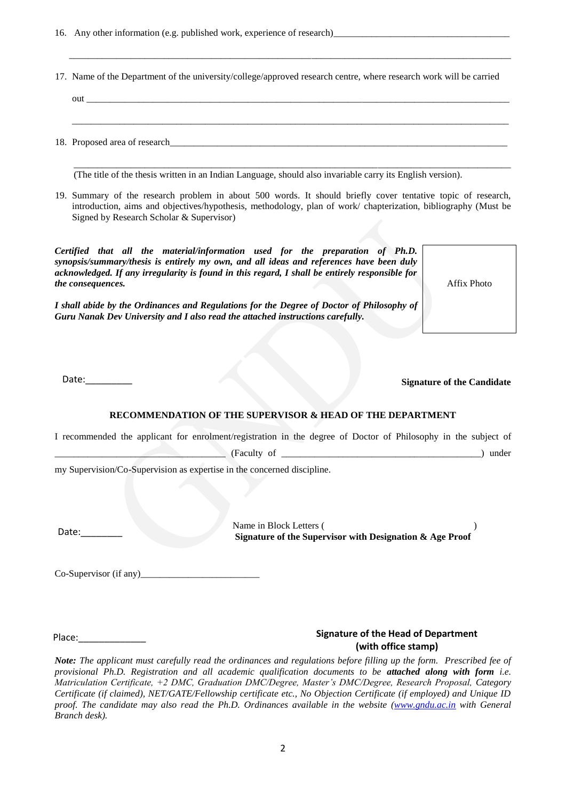16. Any other information (e.g. published work, experience of research)

17. Name of the Department of the university/college/approved research centre, where research work will be carried

 $\overline{\phantom{a}}$  ,  $\overline{\phantom{a}}$  ,  $\overline{\phantom{a}}$  ,  $\overline{\phantom{a}}$  ,  $\overline{\phantom{a}}$  ,  $\overline{\phantom{a}}$  ,  $\overline{\phantom{a}}$  ,  $\overline{\phantom{a}}$  ,  $\overline{\phantom{a}}$  ,  $\overline{\phantom{a}}$  ,  $\overline{\phantom{a}}$  ,  $\overline{\phantom{a}}$  ,  $\overline{\phantom{a}}$  ,  $\overline{\phantom{a}}$  ,  $\overline{\phantom{a}}$  ,  $\overline{\phantom{a}}$ 

| out                           |
|-------------------------------|
|                               |
|                               |
| 18. Proposed area of research |

(The title of the thesis written in an Indian Language, should also invariable carry its English version).

19. Summary of the research problem in about 500 words. It should briefly cover tentative topic of research, introduction, aims and objectives/hypothesis, methodology, plan of work/ chapterization, bibliography (Must be Signed by Research Scholar & Supervisor)

 $\mathcal{L}_\mathcal{L} = \mathcal{L}_\mathcal{L} = \mathcal{L}_\mathcal{L} = \mathcal{L}_\mathcal{L} = \mathcal{L}_\mathcal{L} = \mathcal{L}_\mathcal{L} = \mathcal{L}_\mathcal{L} = \mathcal{L}_\mathcal{L} = \mathcal{L}_\mathcal{L} = \mathcal{L}_\mathcal{L} = \mathcal{L}_\mathcal{L} = \mathcal{L}_\mathcal{L} = \mathcal{L}_\mathcal{L} = \mathcal{L}_\mathcal{L} = \mathcal{L}_\mathcal{L} = \mathcal{L}_\mathcal{L} = \mathcal{L}_\mathcal{L}$ 

*Certified that all the material/information used for the preparation of Ph.D. synopsis/summary/thesis is entirely my own, and all ideas and references have been duly acknowledged. If any irregularity is found in this regard, I shall be entirely responsible for the consequences.* 

*I shall abide by the Ordinances and Regulations for the Degree of Doctor of Philosophy of Guru Nanak Dev University and I also read the attached instructions carefully.* 

Affix Photo

Date:

**Signature of the Candidate**

### **RECOMMENDATION OF THE SUPERVISOR & HEAD OF THE DEPARTMENT**

I recommended the applicant for enrolment/registration in the degree of Doctor of Philosophy in the subject of

\_\_\_\_\_\_\_\_\_\_\_\_\_\_\_\_\_\_\_\_\_\_\_\_\_\_\_\_\_\_\_\_\_\_\_\_ (Faculty of \_\_\_\_\_\_\_\_\_\_\_\_\_\_\_\_\_\_\_\_\_\_\_\_\_\_\_\_\_\_\_\_\_\_\_\_\_\_\_\_\_\_) under

my Supervision/Co-Supervision as expertise in the concerned discipline.

Date:<br> **Date:**<br> **Signature of the Supervisor with Designation & Age Proof** 

 $Co-Supervisor (if any)$ 

Place:

## **Signature of the Head of Department (with office stamp)**

Note: The applicant must carefully read the ordinances and regulations before filling up the form. Prescribed fee of *provisional Ph.D. Registration and all academic qualification documents to be attached along with form i.e. Matriculation Certificate, +2 DMC, Graduation DMC/Degree, Master's DMC/Degree, Research Proposal, Category Certificate (if claimed), NET/GATE/Fellowship certificate etc., No Objection Certificate (if employed) and Unique ID proof. The candidate may also read the Ph.D. Ordinances available in the website [\(www.gndu.ac.in](http://www.gndu.ac.in/) with General Branch desk).*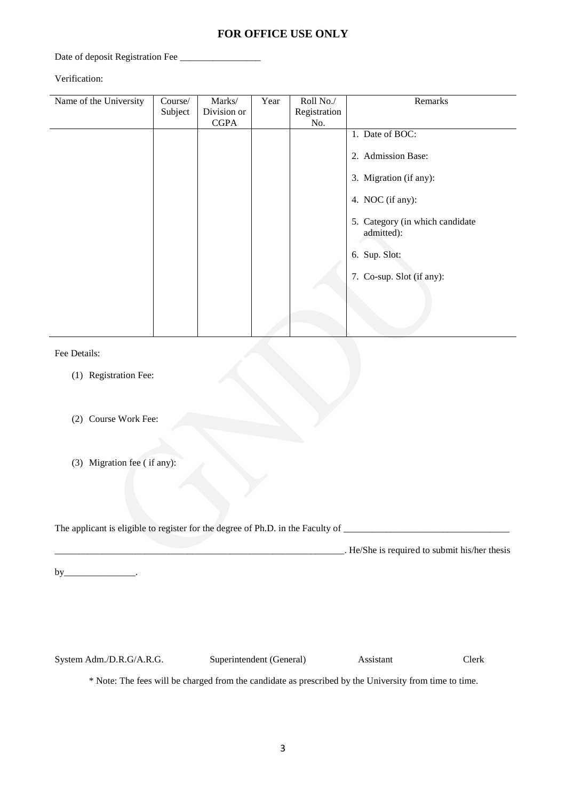# **FOR OFFICE USE ONLY**

Date of deposit Registration Fee

Verification:

| Name of the University | Course/ | Marks/      | Year | Roll No./    | Remarks                                       |
|------------------------|---------|-------------|------|--------------|-----------------------------------------------|
|                        | Subject | Division or |      | Registration |                                               |
|                        |         | <b>CGPA</b> |      | No.          |                                               |
|                        |         |             |      |              | 1. Date of BOC:                               |
|                        |         |             |      |              | 2. Admission Base:                            |
|                        |         |             |      |              | 3. Migration (if any):                        |
|                        |         |             |      |              | 4. NOC (if any):                              |
|                        |         |             |      |              | 5. Category (in which candidate<br>admitted): |
|                        |         |             |      |              | 6. Sup. Slot:                                 |
|                        |         |             |      |              | 7. Co-sup. Slot (if any):                     |
|                        |         |             |      |              |                                               |
|                        |         |             |      |              |                                               |
|                        |         |             |      |              |                                               |

Fee Details:

- (1) Registration Fee:
- (2) Course Work Fee:
- (3) Migration fee ( if any):

The applicant is eligible to register for the degree of Ph.D. in the Faculty of \_\_\_\_\_\_\_\_\_\_\_\_\_\_\_\_\_\_\_\_\_\_\_\_\_\_\_\_\_\_\_\_\_\_\_ \_\_\_\_\_\_\_\_\_\_\_\_\_\_\_\_\_\_\_\_\_\_\_\_\_\_\_\_\_\_\_\_\_\_\_\_\_\_\_\_\_\_\_\_\_\_\_\_\_\_\_\_\_\_\_\_\_\_\_\_\_. He/She is required to submit his/her thesis

 $by$ \_\_\_\_\_\_\_\_\_\_\_\_\_\_\_\_.

System Adm./D.R.G/A.R.G. Superintendent (General) Assistant Clerk

\* Note: The fees will be charged from the candidate as prescribed by the University from time to time.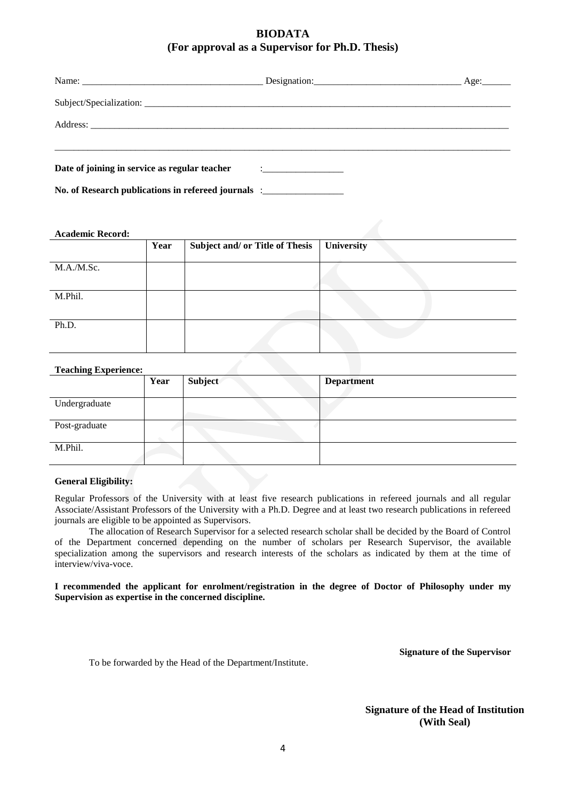# **BIODATA (For approval as a Supervisor for Ph.D. Thesis)**

| No. of Research publications in refereed journals : |  |
|-----------------------------------------------------|--|

#### **Academic Record:**

|            | Year | Subject and/ or Title of Thesis | University |
|------------|------|---------------------------------|------------|
|            |      |                                 |            |
| M.A./M.Sc. |      |                                 |            |
|            |      |                                 |            |
|            |      |                                 |            |
| M.Phil.    |      |                                 |            |
|            |      |                                 |            |
|            |      |                                 |            |
| Ph.D.      |      |                                 |            |
|            |      |                                 |            |
|            |      |                                 |            |

### **Teaching Experience:**

| reacum, experience. | Year | Subject | <b>Department</b> |
|---------------------|------|---------|-------------------|
| Undergraduate       |      |         |                   |
| Post-graduate       |      |         |                   |
| M.Phil.             |      |         |                   |

#### **General Eligibility:**

Regular Professors of the University with at least five research publications in refereed journals and all regular Associate/Assistant Professors of the University with a Ph.D. Degree and at least two research publications in refereed journals are eligible to be appointed as Supervisors.

The allocation of Research Supervisor for a selected research scholar shall be decided by the Board of Control of the Department concerned depending on the number of scholars per Research Supervisor, the available specialization among the supervisors and research interests of the scholars as indicated by them at the time of interview/viva-voce.

**I recommended the applicant for enrolment/registration in the degree of Doctor of Philosophy under my Supervision as expertise in the concerned discipline.**

To be forwarded by the Head of the Department/Institute.

**Signature of the Supervisor**

**Signature of the Head of Institution (With Seal)**